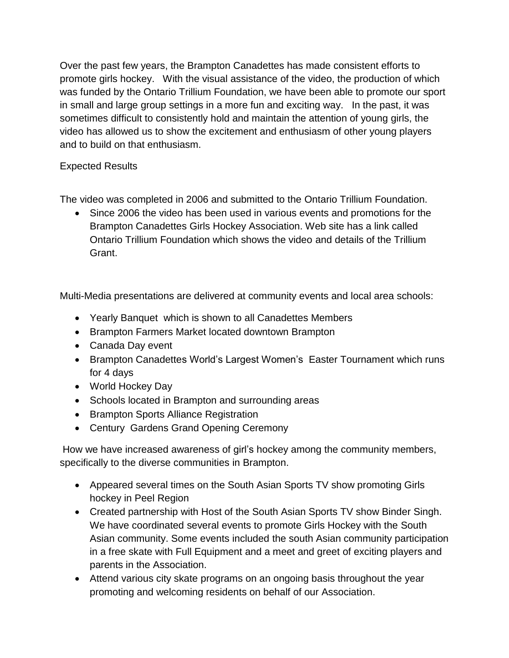Over the past few years, the Brampton Canadettes has made consistent efforts to promote girls hockey. With the visual assistance of the video, the production of which was funded by the Ontario Trillium Foundation, we have been able to promote our sport in small and large group settings in a more fun and exciting way. In the past, it was sometimes difficult to consistently hold and maintain the attention of young girls, the video has allowed us to show the excitement and enthusiasm of other young players and to build on that enthusiasm.

## Expected Results

The video was completed in 2006 and submitted to the Ontario Trillium Foundation.

 Since 2006 the video has been used in various events and promotions for the Brampton Canadettes Girls Hockey Association. Web site has a link called Ontario Trillium Foundation which shows the video and details of the Trillium Grant.

Multi-Media presentations are delivered at community events and local area schools:

- Yearly Banquet which is shown to all Canadettes Members
- Brampton Farmers Market located downtown Brampton
- Canada Day event
- Brampton Canadettes World's Largest Women's Easter Tournament which runs for 4 days
- World Hockey Day
- Schools located in Brampton and surrounding areas
- Brampton Sports Alliance Registration
- Century Gardens Grand Opening Ceremony

How we have increased awareness of girl's hockey among the community members, specifically to the diverse communities in Brampton.

- Appeared several times on the South Asian Sports TV show promoting Girls hockey in Peel Region
- Created partnership with Host of the South Asian Sports TV show Binder Singh. We have coordinated several events to promote Girls Hockey with the South Asian community. Some events included the south Asian community participation in a free skate with Full Equipment and a meet and greet of exciting players and parents in the Association.
- Attend various city skate programs on an ongoing basis throughout the year promoting and welcoming residents on behalf of our Association.